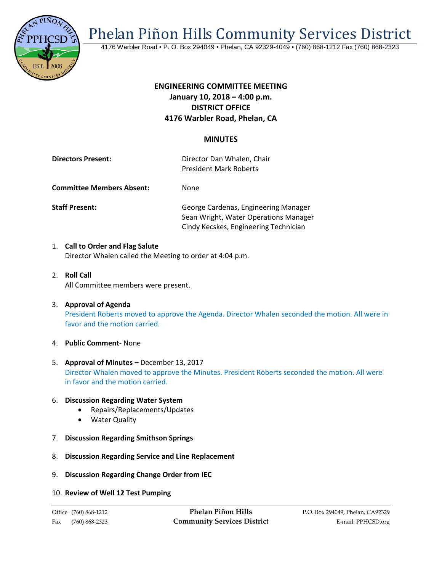

Phelan Piñon Hills Community Services District

4176 Warbler Road • P. O. Box 294049 • Phelan, CA 92329-4049 • (760) 868-1212 Fax (760) 868-2323

# **ENGINEERING COMMITTEE MEETING January 10, 2018 – 4:00 p.m. DISTRICT OFFICE 4176 Warbler Road, Phelan, CA**

# **MINUTES**

| <b>Directors Present:</b> | Director Dan Whalen, Chair    |
|---------------------------|-------------------------------|
|                           | <b>President Mark Roberts</b> |

**Committee Members Absent:** None

**Staff Present:** George Cardenas, Engineering Manager Sean Wright, Water Operations Manager Cindy Kecskes, Engineering Technician

- 1. **Call to Order and Flag Salute** Director Whalen called the Meeting to order at 4:04 p.m.
- 2. **Roll Call** All Committee members were present.
- 3. **Approval of Agenda** President Roberts moved to approve the Agenda. Director Whalen seconded the motion. All were in favor and the motion carried.
- 4. **Public Comment** None
- 5. **Approval of Minutes –** December 13, 2017 Director Whalen moved to approve the Minutes. President Roberts seconded the motion. All were in favor and the motion carried.

## 6. **Discussion Regarding Water System**

- Repairs/Replacements/Updates
- Water Quality
- 7. **Discussion Regarding Smithson Springs**
- 8. **Discussion Regarding Service and Line Replacement**
- 9. **Discussion Regarding Change Order from IEC**
- 10. **Review of Well 12 Test Pumping**